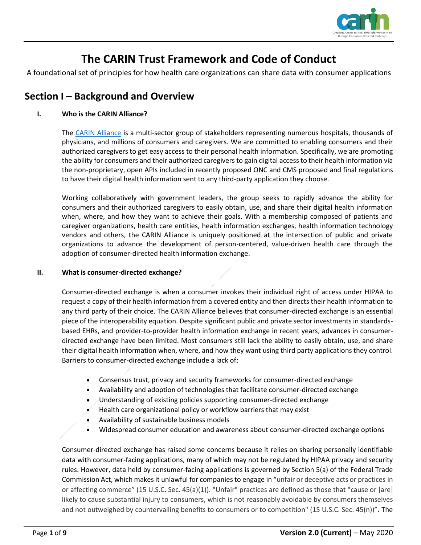

# **The CARIN Trust Framework and Code of Conduct**

A foundational set of principles for how health care organizations can share data with consumer applications

## **Section I – Background and Overview**

#### **I. Who is the CARIN Alliance?**

The [CARIN Alliance](http://www.carinalliance.com/) is a multi-sector group of stakeholders representing numerous hospitals, thousands of physicians, and millions of consumers and caregivers. We are committed to enabling consumers and their authorized caregivers to get easy access to their personal health information. Specifically, we are promoting the ability for consumers and their authorized caregivers to gain digital access to their health information via the non-proprietary, open APIs included in recently proposed ONC and CMS proposed and final regulations to have their digital health information sent to any third-party application they choose.

Working collaboratively with government leaders, the group seeks to rapidly advance the ability for consumers and their authorized caregivers to easily obtain, use, and share their digital health information when, where, and how they want to achieve their goals. With a membership composed of patients and caregiver organizations, health care entities, health information exchanges, health information technology vendors and others, the CARIN Alliance is uniquely positioned at the intersection of public and private organizations to advance the development of person-centered, value-driven health care through the adoption of consumer-directed health information exchange.

#### **II. What is consumer-directed exchange?**

Consumer-directed exchange is when a consumer invokes their individual right of access under HIPAA to request a copy of their health information from a covered entity and then directs their health information to any third party of their choice. The CARIN Alliance believes that consumer-directed exchange is an essential piece of the interoperability equation. Despite significant public and private sector investments in standardsbased EHRs, and provider-to-provider health information exchange in recent years, advances in consumerdirected exchange have been limited. Most consumers still lack the ability to easily obtain, use, and share their digital health information when, where, and how they want using third party applications they control. Barriers to consumer-directed exchange include a lack of:

- Consensus trust, privacy and security frameworks for consumer-directed exchange
- Availability and adoption of technologies that facilitate consumer-directed exchange
- Understanding of existing policies supporting consumer-directed exchange
- Health care organizational policy or workflow barriers that may exist
- Availability of sustainable business models
- Widespread consumer education and awareness about consumer-directed exchange options

Consumer-directed exchange has raised some concerns because it relies on sharing personally identifiable data with consumer-facing applications, many of which may not be regulated by HIPAA privacy and security rules. However, data held by consumer-facing applications is governed by Section 5(a) of the Federal Trade Commission Act, which makes it unlawful for companies to engage in "unfair or deceptive acts or practices in or affecting commerce" (15 U.S.C. Sec. 45(a)(1)). "Unfair" practices are defined as those that "cause or [are] likely to cause substantial injury to consumers, which is not reasonably avoidable by consumers themselves and not outweighed by countervailing benefits to consumers or to competition" (15 U.S.C. Sec. 45(n))". The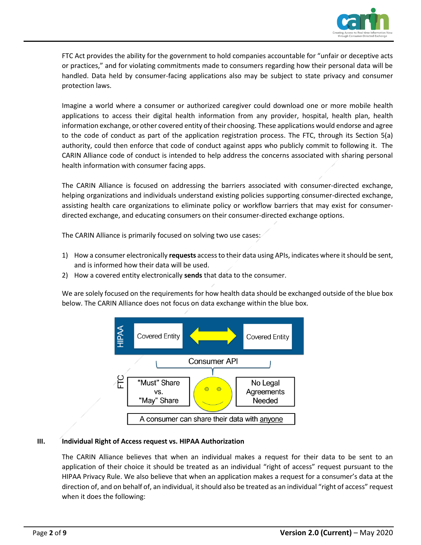

FTC Act provides the ability for the government to hold companies accountable for "unfair or deceptive acts or practices," and for violating commitments made to consumers regarding how their personal data will be handled. Data held by consumer-facing applications also may be subject to state privacy and consumer protection laws.

Imagine a world where a consumer or authorized caregiver could download one or more mobile health applications to access their digital health information from any provider, hospital, health plan, health information exchange, or other covered entity of their choosing. These applications would endorse and agree to the code of conduct as part of the application registration process. The FTC, through its Section 5(a) authority, could then enforce that code of conduct against apps who publicly commit to following it. The CARIN Alliance code of conduct is intended to help address the concerns associated with sharing personal health information with consumer facing apps.

The CARIN Alliance is focused on addressing the barriers associated with consumer-directed exchange, helping organizations and individuals understand existing policies supporting consumer-directed exchange, assisting health care organizations to eliminate policy or workflow barriers that may exist for consumerdirected exchange, and educating consumers on their consumer-directed exchange options.

The CARIN Alliance is primarily focused on solving two use cases:

- 1) How a consumer electronically **requests** access to their data using APIs, indicates where itshould be sent, and is informed how their data will be used.
- 2) How a covered entity electronically **sends** that data to the consumer.

We are solely focused on the requirements for how health data should be exchanged outside of the blue box below. The CARIN Alliance does not focus on data exchange within the blue box.



#### **III. Individual Right of Access request vs. HIPAA Authorization**

The CARIN Alliance believes that when an individual makes a request for their data to be sent to an application of their choice it should be treated as an individual "right of access" request pursuant to the HIPAA Privacy Rule. We also believe that when an application makes a request for a consumer's data at the direction of, and on behalf of, an individual, it should also be treated as an individual "right of access" request when it does the following: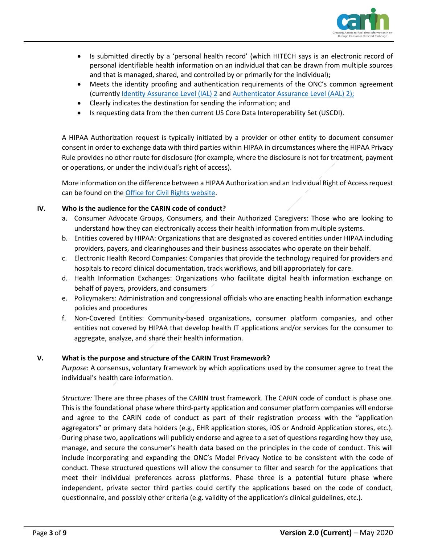

- Is submitted directly by a 'personal health record' (which HITECH says is an electronic record of personal identifiable health information on an individual that can be drawn from multiple sources and that is managed, shared, and controlled by or primarily for the individual);
- Meets the identity proofing and authentication requirements of the ONC's common agreement (currently Identity [Assurance Level](https://pages.nist.gov/800-63-3/sp800-63a.html) (IAL) 2 and [Authenticator Assurance Level](https://pages.nist.gov/800-63-3/sp800-63b.html) (AAL) 2);
- Clearly indicates the destination for sending the information; and
- Is requesting data from the then current US Core Data Interoperability Set (USCDI).

A HIPAA Authorization request is typically initiated by a provider or other entity to document consumer consent in order to exchange data with third parties within HIPAA in circumstances where the HIPAA Privacy Rule provides no other route for disclosure (for example, where the disclosure is not for treatment, payment or operations, or under the individual's right of access).

More information on the difference between a HIPAA Authorization and an Individual Right of Access request can be found on the [Office for Civil Rights website.](https://www.hhs.gov/hipaa/for-professionals/privacy/guidance/access/index.html)

#### **IV. Who is the audience for the CARIN code of conduct?**

- a. Consumer Advocate Groups, Consumers, and their Authorized Caregivers: Those who are looking to understand how they can electronically access their health information from multiple systems.
- b. Entities covered by HIPAA: Organizations that are designated as covered entities under HIPAA including providers, payers, and clearinghouses and their business associates who operate on their behalf.
- c. Electronic Health Record Companies: Companies that provide the technology required for providers and hospitals to record clinical documentation, track workflows, and bill appropriately for care.
- d. Health Information Exchanges: Organizations who facilitate digital health information exchange on behalf of payers, providers, and consumers
- e. Policymakers: Administration and congressional officials who are enacting health information exchange policies and procedures
- f. Non-Covered Entities: Community-based organizations, consumer platform companies, and other entities not covered by HIPAA that develop health IT applications and/or services for the consumer to aggregate, analyze, and share their health information.

#### **V. What is the purpose and structure of the CARIN Trust Framework?**

*Purpose*: A consensus, voluntary framework by which applications used by the consumer agree to treat the individual's health care information.

*Structure:* There are three phases of the CARIN trust framework. The CARIN code of conduct is phase one. This is the foundational phase where third-party application and consumer platform companies will endorse and agree to the CARIN code of conduct as part of their registration process with the "application aggregators" or primary data holders (e.g., EHR application stores, iOS or Android Application stores, etc.). During phase two, applications will publicly endorse and agree to a set of questions regarding how they use, manage, and secure the consumer's health data based on the principles in the code of conduct. This will include incorporating and expanding the ONC's Model Privacy Notice to be consistent with the code of conduct. These structured questions will allow the consumer to filter and search for the applications that meet their individual preferences across platforms. Phase three is a potential future phase where independent, private sector third parties could certify the applications based on the code of conduct, questionnaire, and possibly other criteria (e.g. validity of the application's clinical guidelines, etc.).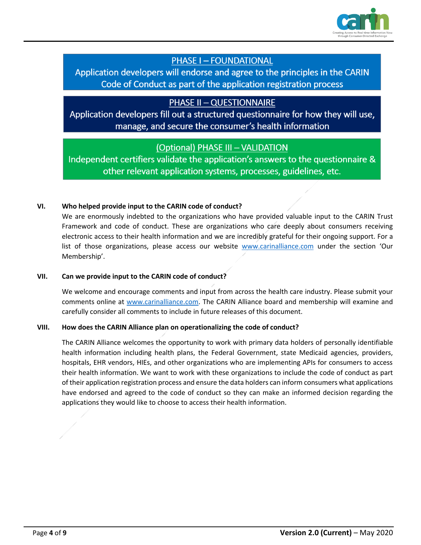

## **PHASE I - FOUNDATIONAL**

Application developers will endorse and agree to the principles in the CARIN Code of Conduct as part of the application registration process

### **PHASE II - QUESTIONNAIRE**

Application developers fill out a structured questionnaire for how they will use, manage, and secure the consumer's health information

### (Optional) PHASE III - VALIDATION

Independent certifiers validate the application's answers to the questionnaire & other relevant application systems, processes, guidelines, etc.

#### **VI. Who helped provide input to the CARIN code of conduct?**

We are enormously indebted to the organizations who have provided valuable input to the CARIN Trust Framework and code of conduct. These are organizations who care deeply about consumers receiving electronic access to their health information and we are incredibly grateful for their ongoing support. For a list of those organizations, please access our website [www.carinalliance.com](http://www.carinalliance.com/) under the section 'Our Membership'.

#### **VII. Can we provide input to the CARIN code of conduct?**

We welcome and encourage comments and input from across the health care industry. Please submit your comments online at [www.carinalliance.com.](http://www.carinalliance.com/) The CARIN Alliance board and membership will examine and carefully consider all comments to include in future releases of this document.

#### **VIII. How does the CARIN Alliance plan on operationalizing the code of conduct?**

The CARIN Alliance welcomes the opportunity to work with primary data holders of personally identifiable health information including health plans, the Federal Government, state Medicaid agencies, providers, hospitals, EHR vendors, HIEs, and other organizations who are implementing APIs for consumers to access their health information. We want to work with these organizations to include the code of conduct as part of their application registration process and ensure the data holders can inform consumers what applications have endorsed and agreed to the code of conduct so they can make an informed decision regarding the applications they would like to choose to access their health information.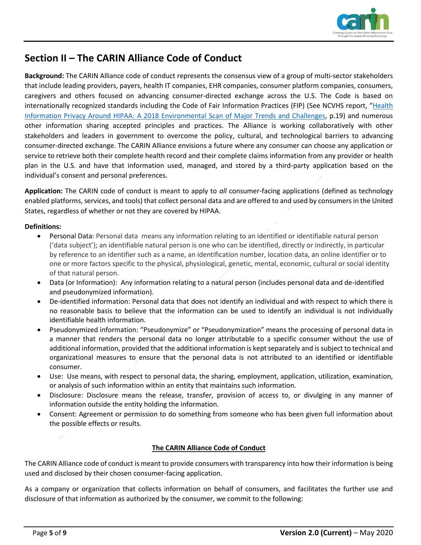

## **Section II – The CARIN Alliance Code of Conduct**

**Background:** The CARIN Alliance code of conduct represents the consensus view of a group of multi-sector stakeholders that include leading providers, payers, health IT companies, EHR companies, consumer platform companies, consumers, caregivers and others focused on advancing consumer-directed exchange across the U.S. The Code is based on internationally recognized standards including the Code of Fair Information Practices (FIP) (See NCVHS report, "Health [Information Privacy Around HIPAA: A 2018 Environmental Scan of Major Trends and Challenges,](https://ncvhs.hhs.gov/wp-content/uploads/2018/01/NCVHS-Beyond-HIPAA_Report-Final-clean-12-13-17.docx) p.19) and numerous other information sharing accepted principles and practices. The Alliance is working collaboratively with other stakeholders and leaders in government to overcome the policy, cultural, and technological barriers to advancing consumer-directed exchange. The CARIN Alliance envisions a future where any consumer can choose any application or service to retrieve both their complete health record and their complete claims information from any provider or health plan in the U.S. and have that information used, managed, and stored by a third-party application based on the individual's consent and personal preferences.

**Application:** The CARIN code of conduct is meant to apply to *all* consumer-facing applications (defined as technology enabled platforms, services, and tools) that collect personal data and are offered to and used by consumers in the United States, regardless of whether or not they are covered by HIPAA.

#### **Definitions:**

- Personal Data: Personal data means any information relating to an identified or identifiable natural person ('data subject'); an identifiable natural person is one who can be identified, directly or indirectly, in particular by reference to an identifier such as a name, an identification number, location data, an online identifier or to one or more factors specific to the physical, physiological, genetic, mental, economic, cultural or social identity of that natural person.
- Data (or Information): Any information relating to a natural person (includes personal data and de-identified and pseudonymized information).
- De-identified information: Personal data that does not identify an individual and with respect to which there is no reasonable basis to believe that the information can be used to identify an individual is not individually identifiable health information.
- Pseudonymized information: "Pseudonymize" or "Pseudonymization" means the processing of personal data in a manner that renders the personal data no longer attributable to a specific consumer without the use of additional information, provided that the additional information is kept separately and is subject to technical and organizational measures to ensure that the personal data is not attributed to an identified or identifiable consumer.
- Use: Use means, with respect to personal data, the sharing, employment, application, utilization, examination, or analysis of such information within an entity that maintains such information.
- Disclosure: Disclosure means the release, transfer, provision of access to, or divulging in any manner of information outside the entity holding the information.
- Consent: Agreement or permission to do something from someone who has been given full information about the possible effects or results.

#### **The CARIN Alliance Code of Conduct**

The CARIN Alliance code of conduct is meant to provide consumers with transparency into how their information is being used and disclosed by their chosen consumer-facing application.

As a company or organization that collects information on behalf of consumers, and facilitates the further use and disclosure of that information as authorized by the consumer, we commit to the following: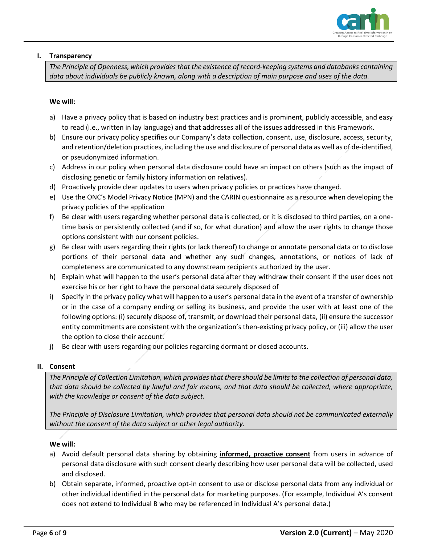

#### **I. Transparency**

*The Principle of Openness, which provides that the existence of record-keeping systems and databanks containing data about individuals be publicly known, along with a description of main purpose and uses of the data.*

#### **We will:**

- a) Have a privacy policy that is based on industry best practices and is prominent, publicly accessible, and easy to read (i.e., written in lay language) and that addresses all of the issues addressed in this Framework.
- b) Ensure our privacy policy specifies our Company's data collection, consent, use, disclosure, access, security, and retention/deletion practices, including the use and disclosure of personal data as well as of de-identified, or pseudonymized information.
- c) Address in our policy when personal data disclosure could have an impact on others (such as the impact of disclosing genetic or family history information on relatives).
- d) Proactively provide clear updates to users when privacy policies or practices have changed.
- e) Use the ONC's Model Privacy Notice (MPN) and the CARIN questionnaire as a resource when developing the privacy policies of the application
- f) Be clear with users regarding whether personal data is collected, or it is disclosed to third parties, on a onetime basis or persistently collected (and if so, for what duration) and allow the user rights to change those options consistent with our consent policies.
- g) Be clear with users regarding their rights (or lack thereof) to change or annotate personal data or to disclose portions of their personal data and whether any such changes, annotations, or notices of lack of completeness are communicated to any downstream recipients authorized by the user.
- h) Explain what will happen to the user's personal data after they withdraw their consent if the user does not exercise his or her right to have the personal data securely disposed of
- i) Specify in the privacy policy what will happen to a user's personal data in the event of a transfer of ownership or in the case of a company ending or selling its business, and provide the user with at least one of the following options: (i) securely dispose of, transmit, or download their personal data, (ii) ensure the successor entity commitments are consistent with the organization's then-existing privacy policy, or (iii) allow the user the option to close their account.
- j) Be clear with users regarding our policies regarding dormant or closed accounts.

#### **II. Consent**

*The Principle of Collection Limitation, which provides that there should be limits to the collection of personal data, that data should be collected by lawful and fair means, and that data should be collected, where appropriate, with the knowledge or consent of the data subject.*

*The Principle of Disclosure Limitation, which provides that personal data should not be communicated externally without the consent of the data subject or other legal authority.*

#### **We will:**

- a) Avoid default personal data sharing by obtaining **informed, proactive consent** from users in advance of personal data disclosure with such consent clearly describing how user personal data will be collected, used and disclosed.
- b) Obtain separate, informed, proactive opt-in consent to use or disclose personal data from any individual or other individual identified in the personal data for marketing purposes. (For example, Individual A's consent does not extend to Individual B who may be referenced in Individual A's personal data.)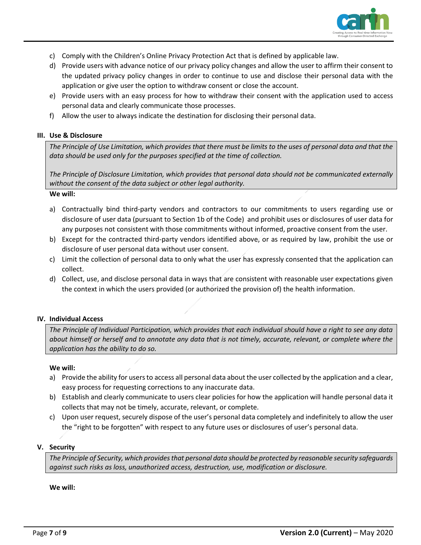

- c) Comply with the Children's Online Privacy Protection Act that is defined by applicable law.
- d) Provide users with advance notice of our privacy policy changes and allow the user to affirm their consent to the updated privacy policy changes in order to continue to use and disclose their personal data with the application or give user the option to withdraw consent or close the account.
- e) Provide users with an easy process for how to withdraw their consent with the application used to access personal data and clearly communicate those processes.
- f) Allow the user to always indicate the destination for disclosing their personal data.

#### **III. Use & Disclosure**

*The Principle of Use Limitation, which provides that there must be limits to the uses of personal data and that the data should be used only for the purposes specified at the time of collection.*

*The Principle of Disclosure Limitation, which provides that personal data should not be communicated externally without the consent of the data subject or other legal authority.* 

#### **We will:**

- a) Contractually bind third-party vendors and contractors to our commitments to users regarding use or disclosure of user data (pursuant to Section 1b of the Code) and prohibit uses or disclosures of user data for any purposes not consistent with those commitments without informed, proactive consent from the user.
- b) Except for the contracted third-party vendors identified above, or as required by law, prohibit the use or disclosure of user personal data without user consent.
- c) Limit the collection of personal data to only what the user has expressly consented that the application can collect.
- d) Collect, use, and disclose personal data in ways that are consistent with reasonable user expectations given the context in which the users provided (or authorized the provision of) the health information.

#### **IV. Individual Access**

*The Principle of Individual Participation, which provides that each individual should have a right to see any data about himself or herself and to annotate any data that is not timely, accurate, relevant, or complete where the application has the ability to do so.*

#### **We will:**

- a) Provide the ability for users to access all personal data about the user collected by the application and a clear, easy process for requesting corrections to any inaccurate data.
- b) Establish and clearly communicate to users clear policies for how the application will handle personal data it collects that may not be timely, accurate, relevant, or complete.
- c) Upon user request, securely dispose of the user's personal data completely and indefinitely to allow the user the "right to be forgotten" with respect to any future uses or disclosures of user's personal data.

#### **V. Security**

*The Principle of Security, which provides that personal data should be protected by reasonable security safeguards against such risks as loss, unauthorized access, destruction, use, modification or disclosure.* 

#### **We will:**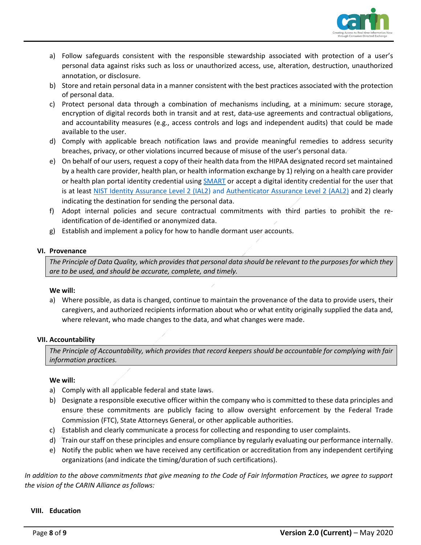

- a) Follow safeguards consistent with the responsible stewardship associated with protection of a user's personal data against risks such as loss or unauthorized access, use, alteration, destruction, unauthorized annotation, or disclosure.
- b) Store and retain personal data in a manner consistent with the best practices associated with the protection of personal data.
- c) Protect personal data through a combination of mechanisms including, at a minimum: secure storage, encryption of digital records both in transit and at rest, data-use agreements and contractual obligations, and accountability measures (e.g., access controls and logs and independent audits) that could be made available to the user.
- d) Comply with applicable breach notification laws and provide meaningful remedies to address security breaches, privacy, or other violations incurred because of misuse of the user's personal data.
- e) On behalf of our users, request a copy of their health data from the HIPAA designated record set maintained by a health care provider, health plan, or health information exchange by 1) relying on a health care provider or health plan portal identity credential using **SMART** or accept a digital identity credential for the user that is at least [NIST Identity Assurance Level](https://nvlpubs.nist.gov/nistpubs/SpecialPublications/NIST.SP.800-63a.pdf) 2 (IAL2) and [Authenticator Assurance Level](https://pages.nist.gov/800-63-3/sp800-63b.html) 2 (AAL2) and 2) clearly indicating the destination for sending the personal data.
- f) Adopt internal policies and secure contractual commitments with third parties to prohibit the reidentification of de-identified or anonymized data.
- g) Establish and implement a policy for how to handle dormant user accounts.

#### **VI. Provenance**

*The Principle of Data Quality, which provides that personal data should be relevant to the purposes for which they are to be used, and should be accurate, complete, and timely.* 

#### **We will:**

a) Where possible, as data is changed, continue to maintain the provenance of the data to provide users, their caregivers, and authorized recipients information about who or what entity originally supplied the data and, where relevant, who made changes to the data, and what changes were made.

#### **VII. Accountability**

*The Principle of Accountability, which provides that record keepers should be accountable for complying with fair information practices.* 

#### **We will:**

- a) Comply with all applicable federal and state laws.
- b) Designate a responsible executive officer within the company who is committed to these data principles and ensure these commitments are publicly facing to allow oversight enforcement by the Federal Trade Commission (FTC), State Attorneys General, or other applicable authorities.
- c) Establish and clearly communicate a process for collecting and responding to user complaints.
- d) Train our staff on these principles and ensure compliance by regularly evaluating our performance internally.
- e) Notify the public when we have received any certification or accreditation from any independent certifying organizations (and indicate the timing/duration of such certifications).

*In addition to the above commitments that give meaning to the Code of Fair Information Practices, we agree to support the vision of the CARIN Alliance as follows:*

#### **VIII. Education**